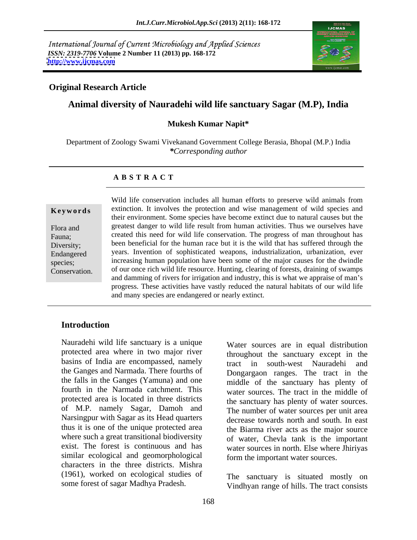International Journal of Current Microbiology and Applied Sciences *ISSN: 2319-7706* **Volume 2 Number 11 (2013) pp. 168-172 <http://www.ijcmas.com>**



## **Original Research Article**

## **Animal diversity of Nauradehi wild life sanctuary Sagar (M.P), India**

### **Mukesh Kumar Napit\***

Department of Zoology Swami Vivekanand Government College Berasia, Bhopal (M.P.) India *\*Corresponding author*

### **A B S T R A C T**

**Keywords** extinction. It involves the protection and wise management of wild species and Flora and greatest danger to wild life result from human activities. Thus we ourselves have Fauna; created this need for wild life conservation. The progress of man throughout has Diversity; been beneficial for the human race but it is the wild that has suffered through the Endangered years. Invention of sophisticated weapons, industrialization, urbanization, ever species; increasing human population have been some of the major causes for the dwindle Conservation. of our once rich wild life resource. Hunting, clearing of forests, draining of swamps Wild life conservation includes all human efforts to preserve wild animals from their environment. Some species have become extinct due to natural causes but the and damming of rivers for irrigation and industry, this is what we appraise of man's progress. These activities have vastly reduced the natural habitats of our wild life and many species are endangered or nearly extinct.

### **Introduction**

Nauradehi wild life sanctuary is a unique protected area where in two major river basins of India are encompassed, namely tract in south-west Nauradehi and the Ganges and Narmada. There fourths of the falls in the Ganges (Yamuna) and one fourth in the Narmada catchment. This water sources. The tract in the middle of protected area is located in three districts of M.P. namely Sagar, Damoh and Narsingpur with Sagar as its Head quarters thus it is one of the unique protected area where such a great transitional biodiversity of water, Chevla tank is the important exist. The forest is continuous and has water sources in north. Else where Jhiriyas similar ecological and geomorphological characters in the three districts. Mishra (1961), worked on ecological studies of some forest of sagar Madhya Pradesh.

Water sources are in equal distribution throughout the sanctuary except in the tract in south-west Nauradehi Dongargaon ranges. The tract in the middle of the sanctuary has plenty of the sanctuary has plenty of water sources. The number of water sources per unit area decrease towards north and south. In east the Biarma river acts as the major source form the important water sources.

The sanctuary is situated mostly on Vindhyan range of hills. The tract consists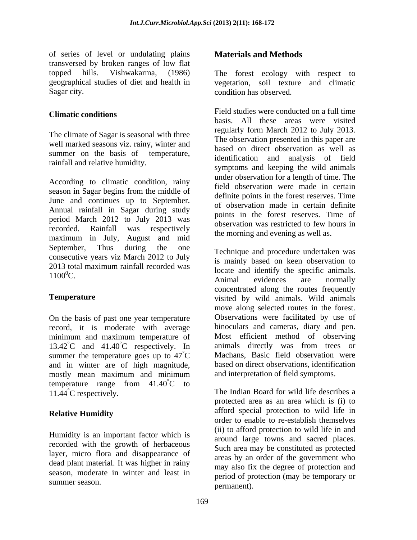of series of level or undulating plains transversed by broken ranges of low flat Sagar city. The same condition has observed.

The climate of Sagar is seasonal with three well marked seasons viz. rainy, winter and summer on the basis of temperature, rainfall and relative humidity.

According to climatic condition, rainy season in Sagar begins from the middle of June and continues up to September. Annual rainfall in Sagar during study period March 2012 to July 2013 was recorded. Rainfall was respectively bosses valid was respected to the normal control of the morning of example of the normal control of the normal control of the normal control of the normal control of the normal control o maximum in July, August and mid September, Thus during the one Technique and procedure undertaken was consecutive years viz March 2012 to July 2013 total maximum rainfall recorded was locate and identify the specific animals

On the basis of past one year temperature record, it is moderate with average minimum and maximum temperature of 13.42<sup>°</sup>C and 41.40<sup>°</sup>C respectively. In animals directly was from trees or summer the temperature goes up to  $47^{\circ}$ C and in winter are of high magnitude, based on direct observations, identification<br>mostly mean maximum and minimum and interpretation of field symptoms. temperature range from  $41.40^{\circ}$ C to  ${}^{\circ}C$  to  ${}^{\circ}C$ 

Humidity is an important factor which is recorded with the growth of herbaceous layer, micro flora and disappearance of dead plant material. It was higher in rainy season, moderate in winter and least in

## **Materials and Methods**

topped hills. Vishwakarma, (1986) The forest ecology with respect to geographical studies of diet and health in vegetation, soil texture and climatic

**Climatic conditions Climatic conditions Climatic conditions** Field studies were conducted on a full time basis. All these areas were visited regularly form March 2012 to July 2013. The observation presented in this paper are based on direct observation as well as identification and analysis of field symptoms and keeping the wild animals under observation for a length of time. The field observation were made in certain definite points in the forest reserves. Time of observation made in certain definite points in the forest reserves. Time of observation was restricted to few hours in the morning and evening as well as.

2015 total maximum rannam recorded was locate and identify the specific animals.<br>1100<sup>0</sup>C. **Temperature visited by wild animals. Wild animals** °C Machans, Basic field observation were is mainly based on keen observation to Animal evidences are normally concentrated along the routes frequently move along selected routes in the forest. Observations were facilitated by use of binoculars and cameras, diary and pen. Most efficient method of observing based on direct observations, identification and interpretation of field symptoms.

11.44°C respectively. The Indian Board for wild life describes a **Relative Humidity** and a special protection to what the in summer season.  $\frac{1}{2}$  is  $\frac{1}{2}$  in  $\frac{1}{2}$  is  $\frac{1}{2}$  in  $\frac{1}{2}$  in  $\frac{1}{2}$  is  $\frac{1}{2}$  in  $\frac{1}{2}$  in  $\frac{1}{2}$  is  $\frac{1}{2}$  in  $\frac{1}{2}$  in  $\frac{1}{2}$  is  $\frac{1}{2}$  in  $\frac{1}{2}$  in  $\frac{1}{2}$  is  $\frac{1}{2}$  i protected area as an area which is (i) to afford special protection to wild life in order to enable to re-establish themselves (ii) to afford protection to wild life in and around large towns and sacred places. Such area may be constituted as protected areas by an order of the government who may also fix the degree of protection and period of protection (may be temporary or permanent).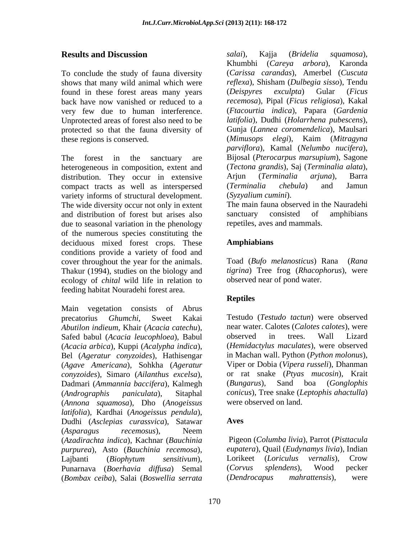To conclude the study of fauna diversity shows that many wild animal which were found in these forest areas many years (Deispyres exculpta) Gular (Ficus very few due to human interference. Unprotected areas of forest also need to be protected so that the fauna diversity of

The forest in the sanctuary are Bijosal (*Pterocarpus marsupium*), Sagone heterogeneous in composition, extent and (*Tectona grandis*), Sa distribution. They occur in extensive Ariun (*Terminalia*) distribution. They occur in extensive Arjun (Terminalia arjuna), Barra compact tracts as well as interspersed (*Terminalia chebula*) and Jamun variety informs of structural development. The wide diversity occur not only in extent<br>and distribution of forest but arises also sanctuary consisted of amphibians and distribution of forest but arises also due to seasonal variation in the phenology of the numerous species constituting the deciduous mixed forest crops. These **Amphiabians** conditions provide a variety of food and cover throughout the year for the animals. Thakur (1994), studies on the biology and ecology of *chital* wild life in relation to feeding habitat Nouradehi forest area.

Main vegetation consists of Abrus precatorius *Ghumchi*, Sweet Kakai Testudo (*Testudo tactun*) were observed *Abutilon indieum*, Khair (*Acacia catechu*), Safed babul (*Acacia leucophloea*), Babul observed in trees. Wall Lizard (*Acacia arbica*), Kuppi (*Acalypha indica*), Bel (*Ageratur conyzoides*), Hathisengar (*Agave Americana*), Sohkha (*Ageratur conyzoides*), Simaro (*Ailanthus excelsa*), Dadmari (*Ammannia baccifera*), Kalmegh (*Andrographis paniculata*), Sitaphal *conicus*), Tree snake (*Leptophis ahactulla*) (*Annona squamosa*), Dho (*Anogeissus latifolia*), Kardhai (*Anogeissus pendula*), Dudhi (*Asclepias curassvica*), Satawar (*Asparagus recemosus*), Neem (*Azadirachta indica*), Kachnar (*Bauchinia purpurea*), Asto (*Bauchinia recemosa*), Lajbanti (*Biophytum sensitivum*), Punarnava (*Boerhavia diffusa*) Semal (*Bombax ceiba*), Salai (*Boswellia serrata*

**Results and Discussion Example 2** *salai*), Kajja (*Bridelia squamosa*), back have now vanished or reduced to a *recemosa*), Pipal (*Ficus religiosa*), Kakal these regions is conserved. (*Mimusops elegi*), Kaim (*Mitragyna salai*), Kajja (*Bridelia squamosa*), Khumbhi (*Careya arbora*), Karonda (*Carissa carandas*), Amerbel (*Cuscuta reflexa*), Shisham (*Dulbegia sisso*), Tendu (*Deispyres exculpta*) Gular (*Ficus*  (*Ftacourtia indica*), Papara (*Gardenia latifolia*), Dudhi (*Holarrhena pubescens*), Gunja (*Lannea coromendelica*), Maulsari *parviflora*), Kamal (*Nelumbo nucifera*), (*Tectona grandis*), Saj (*Terminalia alata*), Arjun (*Terminalia arjuna*), Barra (*Terminalia chebula*) and Jamun (*Syzyalium cumini*).

The main fauna observed in the Nauradehi sanctuary consisted of amphibians repetiles, aves and mammals.

## **Amphiabians**

Toad (*Bufo melanosticus*) Rana (*Rana tigrina*) Tree frog (*Rhacophorus*), were observed near of pond water.

## **Reptiles**

near water. Calotes (*Calotes calotes*), were observed in trees. Wall Lizard (*Hemidactylus maculates*), were observed in Machan wall. Python (*Python molonus*), Viper or Dobia (*Vipera russeli*), Dhanman or rat snake (*Ptyas mucosin*), Krait (*Bungarus*), Sand boa (*Gonglophis*  were observed on land.

## **Aves**

 Pigeon (*Columba livia*), Parrot (*Pisttacula eupatera*), Quail (*Eudynamys livia*), Indian Lorikeet (*Loriculus vernalis*), Crow (*Corvus splendens*), Wood pecker (*Dendrocapus mahrattensis*), were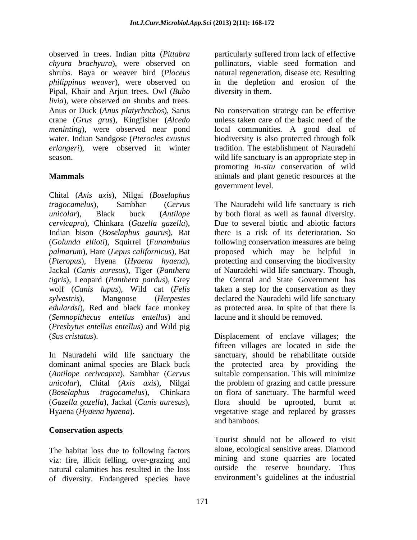observed in trees. Indian pitta(*Pittabra*  particularly suffered from lack of effective *chyura brachyura*), were observed on pollinators, viable seed formation and shrubs. Baya or weaver bird (*Ploceus*  natural regeneration, disease etc. Resulting *philippinus weaver*), were observed on in the depletion and erosion of the Pipal, Khair and Arjun trees. Owl (*Bubo livia*), were observed on shrubs and trees. Anus or Duck (*Anus platyrhnchos*), Sarus No conservation strategy can be effective crane (*Grus grus*), Kingfisher (*Alcedo meninting*), were observed near pond water. Indian Sandgose (*Pterocles exustus* biodiversity is also protected through folk *erlangeri*), were observed in winter tradition. The establishment of Nauradehi

Chital (*Axis axis*), Nilgai (*Boselaphus tragocamelus*), Sambhar (*Cervus*  The Nauradehi wild life sanctuary is rich *unicolar*), Black buck (*Antilope*  by both floral as well as faunal diversity. *cervicapra*), Chinkara (*Gazella gazella*), Indian bison (*Boselaphus gaurus*), Rat (*Golunda ellioti*), Squirrel (*Funambulus*  following conservation measures are being *palmarum*), Hare (*Lepus californicus*), Bat proposed which may be helpful in (*Pteropus*), Hyena (*Hyaena hyaena*), Jackal (*Canis auresus*), Tiger (*Panthera*  of Nauradehi wild life sanctuary. Though, *tigris*), Leopard (*Panthera pardus*), Grey wolf (*Canis lupus*), Wild cat (*Felis*  taken a step for the conservation as they *sylvestris*), Mangoose (*Herpestes*  declared the Nauradehi wild life sanctuary *edulardsi*), Red and black face monkey as protected area. In spite of that there is (*Semnopithecus entellus entellus*) and (*Presbytus entellus entellus*) and Wild pig (*Sus cristatus*). Displacement of enclave villages; the

(*Antilope cerivcapra*), Sambhar (*Cervus*  (*Gazella gazella*), Jackal (*Cunis auresus*),

## **Conservation aspects**

The habitat loss due to following factors viz: fire, illicit felling, over-grazing and natural calamities has resulted in the loss of diversity. Endangered species have

diversity in them.

season. wild life sanctuary is an appropriate step in **Mammals** animals and plant genetic resources at the unless taken care of the basic need of the local communities. A good deal of promoting *in-situ* conservation of wild government level.

> Due to several biotic and abiotic factors there is a risk of its deterioration. So protecting and conserving the biodiversity the Central and State Government has lacune and it should be removed.

In Nauradehi wild life sanctuary the sanctuary, should be rehabilitate outside dominant animal species are Black buck the protected area by providing the *unicolar*), Chital (*Axis axis*), Nilgai the problem of grazing and cattle pressure (*Boselaphus tragocamelus*), Chinkara on flora of sanctuary. The harmful weed Hyaena (*Hyaena hyaena*). vegetative stage and replaced by grasses fifteen villages are located in side the suitable compensation. This will minimize flora should be uprooted, burnt at and bamboos.

> Tourist should not be allowed to visit alone, ecological sensitive areas. Diamond mining and stone quarries are located outside the reserve boundary. Thus environment's guidelines at the industrial